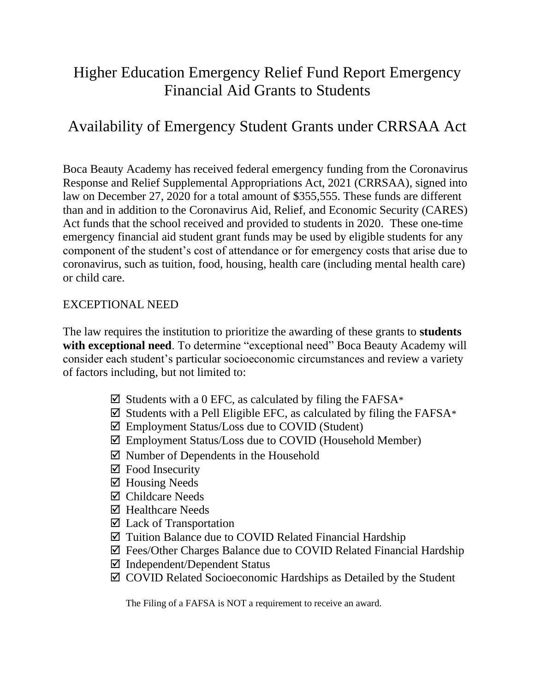# Higher Education Emergency Relief Fund Report Emergency Financial Aid Grants to Students

## Availability of Emergency Student Grants under CRRSAA Act

Boca Beauty Academy has received federal emergency funding from the Coronavirus Response and Relief Supplemental Appropriations Act, 2021 (CRRSAA), signed into law on December 27, 2020 for a total amount of \$355,555. These funds are different than and in addition to the Coronavirus Aid, Relief, and Economic Security (CARES) Act funds that the school received and provided to students in 2020. These one-time emergency financial aid student grant funds may be used by eligible students for any component of the student's cost of attendance or for emergency costs that arise due to coronavirus, such as tuition, food, housing, health care (including mental health care) or child care.

#### EXCEPTIONAL NEED

The law requires the institution to prioritize the awarding of these grants to **students with exceptional need**. To determine "exceptional need" Boca Beauty Academy will consider each student's particular socioeconomic circumstances and review a variety of factors including, but not limited to:

- $\boxtimes$  Students with a 0 EFC, as calculated by filing the FAFSA\*
- $\boxtimes$  Students with a Pell Eligible EFC, as calculated by filing the FAFSA $^*$
- Employment Status/Loss due to COVID (Student)
- Employment Status/Loss due to COVID (Household Member)
- $\boxtimes$  Number of Dependents in the Household
- $\boxtimes$  Food Insecurity
- $\boxtimes$  Housing Needs
- Childcare Needs
- $\boxtimes$  Healthcare Needs
- Lack of Transportation
- $\boxtimes$  Tuition Balance due to COVID Related Financial Hardship
- Fees/Other Charges Balance due to COVID Related Financial Hardship
- $\boxtimes$  Independent/Dependent Status
- COVID Related Socioeconomic Hardships as Detailed by the Student

The Filing of a FAFSA is NOT a requirement to receive an award.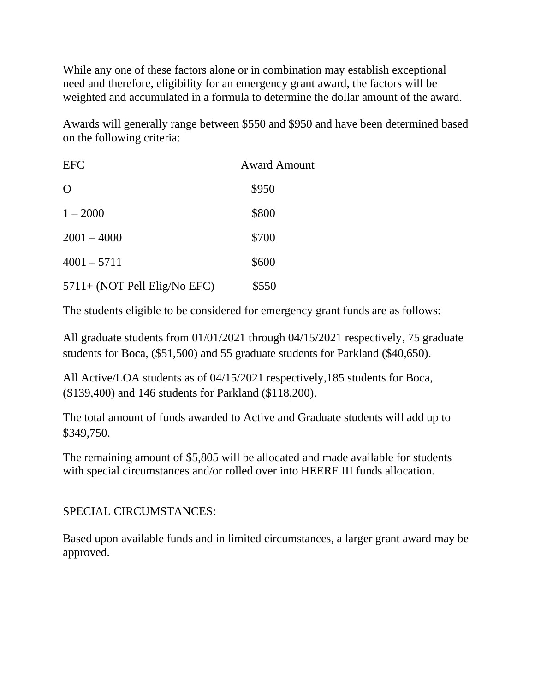While any one of these factors alone or in combination may establish exceptional need and therefore, eligibility for an emergency grant award, the factors will be weighted and accumulated in a formula to determine the dollar amount of the award.

Awards will generally range between \$550 and \$950 and have been determined based on the following criteria:

| <b>EFC</b>                   | <b>Award Amount</b> |
|------------------------------|---------------------|
| $\Omega$                     | \$950               |
| $1 - 2000$                   | \$800               |
| $2001 - 4000$                | \$700               |
| $4001 - 5711$                | \$600               |
| 5711+ (NOT Pell Elig/No EFC) | \$550               |

The students eligible to be considered for emergency grant funds are as follows:

All graduate students from 01/01/2021 through 04/15/2021 respectively, 75 graduate students for Boca, (\$51,500) and 55 graduate students for Parkland (\$40,650).

All Active/LOA students as of 04/15/2021 respectively,185 students for Boca, (\$139,400) and 146 students for Parkland (\$118,200).

The total amount of funds awarded to Active and Graduate students will add up to \$349,750.

The remaining amount of \$5,805 will be allocated and made available for students with special circumstances and/or rolled over into HEERF III funds allocation.

#### SPECIAL CIRCUMSTANCES:

Based upon available funds and in limited circumstances, a larger grant award may be approved.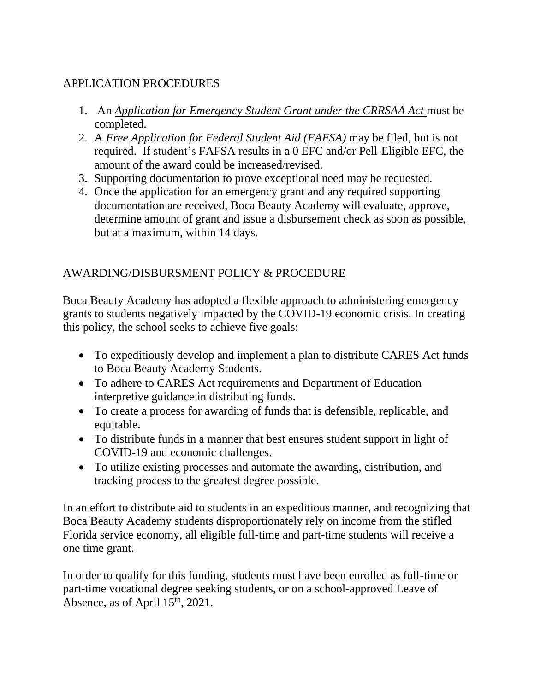### APPLICATION PROCEDURES

- 1. An *Application for Emergency Student Grant under the CRRSAA Act* must be completed.
- 2. A *Free Application for Federal Student Aid (FAFSA)* may be filed, but is not required. If student's FAFSA results in a 0 EFC and/or Pell-Eligible EFC, the amount of the award could be increased/revised.
- 3. Supporting documentation to prove exceptional need may be requested.
- 4. Once the application for an emergency grant and any required supporting documentation are received, Boca Beauty Academy will evaluate, approve, determine amount of grant and issue a disbursement check as soon as possible, but at a maximum, within 14 days.

### AWARDING/DISBURSMENT POLICY & PROCEDURE

Boca Beauty Academy has adopted a flexible approach to administering emergency grants to students negatively impacted by the COVID-19 economic crisis. In creating this policy, the school seeks to achieve five goals:

- To expeditiously develop and implement a plan to distribute CARES Act funds to Boca Beauty Academy Students.
- To adhere to CARES Act requirements and Department of Education interpretive guidance in distributing funds.
- To create a process for awarding of funds that is defensible, replicable, and equitable.
- To distribute funds in a manner that best ensures student support in light of COVID-19 and economic challenges.
- To utilize existing processes and automate the awarding, distribution, and tracking process to the greatest degree possible.

In an effort to distribute aid to students in an expeditious manner, and recognizing that Boca Beauty Academy students disproportionately rely on income from the stifled Florida service economy, all eligible full-time and part-time students will receive a one time grant.

In order to qualify for this funding, students must have been enrolled as full-time or part-time vocational degree seeking students, or on a school-approved Leave of Absence, as of April 15<sup>th</sup>, 2021.